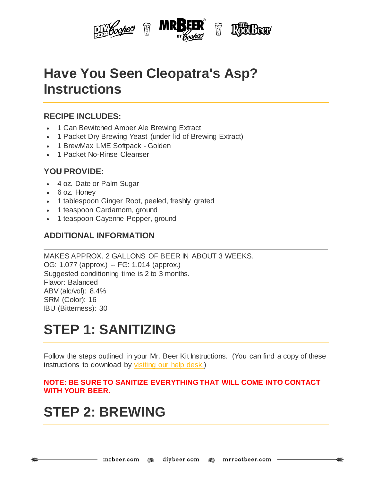

## **Have You Seen Cleopatra's Asp? Instructions**

### **RECIPE INCLUDES:**

- 1 Can Bewitched Amber Ale Brewing Extract
- 1 Packet Dry Brewing Yeast (under lid of Brewing Extract)
- 1 BrewMax LME Softpack Golden
- 1 Packet No-Rinse Cleanser

### **YOU PROVIDE:**

- 4 oz. Date or Palm Sugar
- 6 oz. Honey
- 1 tablespoon Ginger Root, peeled, freshly grated
- 1 teaspoon Cardamom, ground
- 1 teaspoon Cayenne Pepper, ground

#### **ADDITIONAL INFORMATION**

MAKES APPROX. 2 GALLONS OF BEER IN ABOUT 3 WEEKS. OG: 1.077 (approx.) -- FG: 1.014 (approx.) Suggested conditioning time is 2 to 3 months. Flavor: Balanced ABV (alc/vol): 8.4% SRM (Color): 16 IBU (Bitterness): 30

## **STEP 1: SANITIZING**

Follow the steps outlined in your Mr. Beer Kit Instructions. (You can find a copy of these instructions to download by [visiting](http://www.mrbeer.com/help) our help desk.)

#### **NOTE: BE SURE TO SANITIZE EVERYTHING THAT WILL COME INTO CONTACT WITH YOUR BEER.**

## **STEP 2: BREWING**